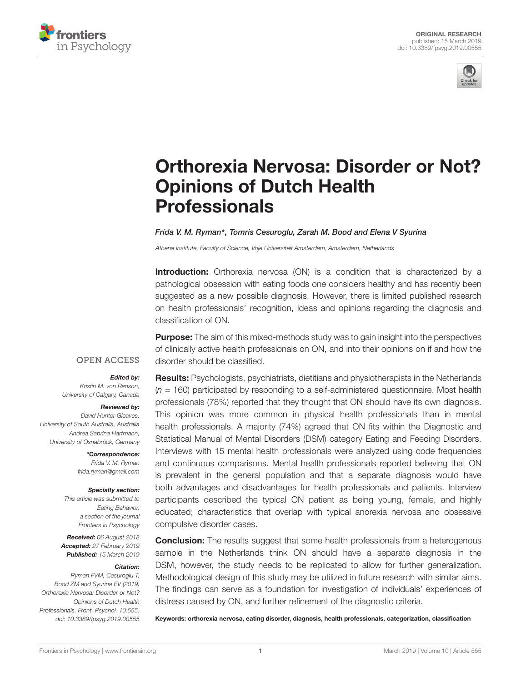



# [Orthorexia Nervosa: Disorder or Not?](https://www.frontiersin.org/articles/10.3389/fpsyg.2019.00555/full) Opinions of Dutch Health Professionals

[Frida V. M. Ryman](http://loop.frontiersin.org/people/587146/overview)\*, [Tomris Cesuroglu,](http://loop.frontiersin.org/people/699299/overview) [Zarah M. Bood](http://loop.frontiersin.org/people/550808/overview) and [Elena V Syurina](http://loop.frontiersin.org/people/479575/overview)

Athena Institute, Faculty of Science, Vrije Universiteit Amsterdam, Amsterdam, Netherlands

Introduction: Orthorexia nervosa (ON) is a condition that is characterized by a pathological obsession with eating foods one considers healthy and has recently been suggested as a new possible diagnosis. However, there is limited published research on health professionals' recognition, ideas and opinions regarding the diagnosis and classification of ON.

**Purpose:** The aim of this mixed-methods study was to gain insight into the perspectives of clinically active health professionals on ON, and into their opinions on if and how the disorder should be classified.

### **OPEN ACCESS**

#### Edited by:

Kristin M. von Ranson, University of Calgary, Canada

#### Reviewed by:

David Hunter Gleaves, University of South Australia, Australia Andrea Sabrina Hartmann, University of Osnabrück, Germany

> \*Correspondence: Frida V. M. Ryman frida.ryman@gmail.com

#### Specialty section:

This article was submitted to Eating Behavior, a section of the journal Frontiers in Psychology

Received: 06 August 2018 Accepted: 27 February 2019 Published: 15 March 2019

#### Citation:

Ryman FVM, Cesuroglu T, Bood ZM and Syurina EV (2019) Orthorexia Nervosa: Disorder or Not? Opinions of Dutch Health Professionals. Front. Psychol. 10:555. doi: [10.3389/fpsyg.2019.00555](https://doi.org/10.3389/fpsyg.2019.00555)

Results: Psychologists, psychiatrists, dietitians and physiotherapists in the Netherlands  $(n = 160)$  participated by responding to a self-administered questionnaire. Most health professionals (78%) reported that they thought that ON should have its own diagnosis. This opinion was more common in physical health professionals than in mental health professionals. A majority (74%) agreed that ON fits within the Diagnostic and Statistical Manual of Mental Disorders (DSM) category Eating and Feeding Disorders. Interviews with 15 mental health professionals were analyzed using code frequencies and continuous comparisons. Mental health professionals reported believing that ON is prevalent in the general population and that a separate diagnosis would have both advantages and disadvantages for health professionals and patients. Interview participants described the typical ON patient as being young, female, and highly educated; characteristics that overlap with typical anorexia nervosa and obsessive compulsive disorder cases.

**Conclusion:** The results suggest that some health professionals from a heterogenous sample in the Netherlands think ON should have a separate diagnosis in the DSM, however, the study needs to be replicated to allow for further generalization. Methodological design of this study may be utilized in future research with similar aims. The findings can serve as a foundation for investigation of individuals' experiences of distress caused by ON, and further refinement of the diagnostic criteria.

Keywords: orthorexia nervosa, eating disorder, diagnosis, health professionals, categorization, classification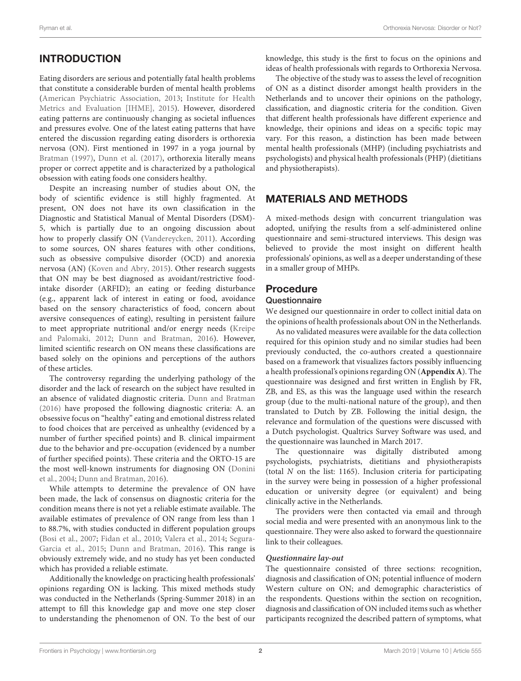# **INTRODUCTION**

Eating disorders are serious and potentially fatal health problems that constitute a considerable burden of mental health problems [\(American Psychiatric Association,](#page-8-0) [2013;](#page-8-0) [Institute for Health](#page-8-1) [Metrics and Evaluation \[IHME\],](#page-8-1) [2015\)](#page-8-1). However, disordered eating patterns are continuously changing as societal influences and pressures evolve. One of the latest eating patterns that have entered the discussion regarding eating disorders is orthorexia nervosa (ON). First mentioned in 1997 in a yoga journal by [Bratman](#page-8-2) [\(1997\)](#page-8-2), [Dunn et al.](#page-8-3) [\(2017\)](#page-8-3), orthorexia literally means proper or correct appetite and is characterized by a pathological obsession with eating foods one considers healthy.

Despite an increasing number of studies about ON, the body of scientific evidence is still highly fragmented. At present, ON does not have its own classification in the Diagnostic and Statistical Manual of Mental Disorders (DSM)- 5, which is partially due to an ongoing discussion about how to properly classify ON [\(Vandereycken,](#page-8-4) [2011\)](#page-8-4). According to some sources, ON shares features with other conditions, such as obsessive compulsive disorder (OCD) and anorexia nervosa (AN) [\(Koven and Abry,](#page-8-5) [2015\)](#page-8-5). Other research suggests that ON may be best diagnosed as avoidant/restrictive foodintake disorder (ARFID); an eating or feeding disturbance (e.g., apparent lack of interest in eating or food, avoidance based on the sensory characteristics of food, concern about aversive consequences of eating), resulting in persistent failure to meet appropriate nutritional and/or energy needs [\(Kreipe](#page-8-6) [and Palomaki,](#page-8-6) [2012;](#page-8-6) [Dunn and Bratman,](#page-8-7) [2016\)](#page-8-7). However, limited scientific research on ON means these classifications are based solely on the opinions and perceptions of the authors of these articles.

The controversy regarding the underlying pathology of the disorder and the lack of research on the subject have resulted in an absence of validated diagnostic criteria. [Dunn and Bratman](#page-8-7) [\(2016\)](#page-8-7) have proposed the following diagnostic criteria: A. an obsessive focus on "healthy" eating and emotional distress related to food choices that are perceived as unhealthy (evidenced by a number of further specified points) and B. clinical impairment due to the behavior and pre-occupation (evidenced by a number of further specified points). These criteria and the ORTO-15 are the most well-known instruments for diagnosing ON [\(Donini](#page-8-8) [et al.,](#page-8-8) [2004;](#page-8-8) [Dunn and Bratman,](#page-8-7) [2016\)](#page-8-7).

While attempts to determine the prevalence of ON have been made, the lack of consensus on diagnostic criteria for the condition means there is not yet a reliable estimate available. The available estimates of prevalence of ON range from less than 1 to 88.7%, with studies conducted in different population groups [\(Bosi et al.,](#page-8-9) [2007;](#page-8-9) [Fidan et al.,](#page-8-10) [2010;](#page-8-10) [Valera et al.,](#page-8-11) [2014;](#page-8-11) [Segura-](#page-8-12)[Garcia et al.,](#page-8-12) [2015;](#page-8-12) [Dunn and Bratman,](#page-8-7) [2016\)](#page-8-7). This range is obviously extremely wide, and no study has yet been conducted which has provided a reliable estimate.

Additionally the knowledge on practicing health professionals' opinions regarding ON is lacking. This mixed methods study was conducted in the Netherlands (Spring-Summer 2018) in an attempt to fill this knowledge gap and move one step closer to understanding the phenomenon of ON. To the best of our

knowledge, this study is the first to focus on the opinions and ideas of health professionals with regards to Orthorexia Nervosa.

The objective of the study was to assess the level of recognition of ON as a distinct disorder amongst health providers in the Netherlands and to uncover their opinions on the pathology, classification, and diagnostic criteria for the condition. Given that different health professionals have different experience and knowledge, their opinions and ideas on a specific topic may vary. For this reason, a distinction has been made between mental health professionals (MHP) (including psychiatrists and psychologists) and physical health professionals (PHP) (dietitians and physiotherapists).

# MATERIALS AND METHODS

A mixed-methods design with concurrent triangulation was adopted, unifying the results from a self-administered online questionnaire and semi-structured interviews. This design was believed to provide the most insight on different health professionals' opinions, as well as a deeper understanding of these in a smaller group of MHPs.

### Procedure

#### **Questionnaire**

We designed our questionnaire in order to collect initial data on the opinions of health professionals about ON in the Netherlands.

As no validated measures were available for the data collection required for this opinion study and no similar studies had been previously conducted, the co-authors created a questionnaire based on a framework that visualizes factors possibly influencing a health professional's opinions regarding ON (**[Appendix A](#page-8-13)**). The questionnaire was designed and first written in English by FR, ZB, and ES, as this was the language used within the research group (due to the multi-national nature of the group), and then translated to Dutch by ZB. Following the initial design, the relevance and formulation of the questions were discussed with a Dutch psychologist. Qualtrics Survey Software was used, and the questionnaire was launched in March 2017.

The questionnaire was digitally distributed among psychologists, psychiatrists, dietitians and physiotherapists (total N on the list: 1165). Inclusion criteria for participating in the survey were being in possession of a higher professional education or university degree (or equivalent) and being clinically active in the Netherlands.

The providers were then contacted via email and through social media and were presented with an anonymous link to the questionnaire. They were also asked to forward the questionnaire link to their colleagues.

#### **Questionnaire lay-out**

The questionnaire consisted of three sections: recognition, diagnosis and classification of ON; potential influence of modern Western culture on ON; and demographic characteristics of the respondents. Questions within the section on recognition, diagnosis and classification of ON included items such as whether participants recognized the described pattern of symptoms, what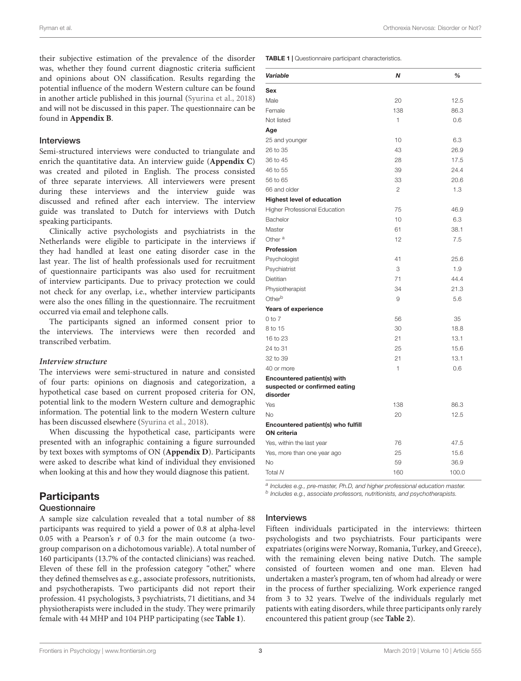their subjective estimation of the prevalence of the disorder was, whether they found current diagnostic criteria sufficient and opinions about ON classification. Results regarding the potential influence of the modern Western culture can be found in another article published in this journal [\(Syurina et al.,](#page-8-14) [2018\)](#page-8-14) and will not be discussed in this paper. The questionnaire can be found in **[Appendix B](#page-8-13)**.

#### Interviews

Semi-structured interviews were conducted to triangulate and enrich the quantitative data. An interview guide (**[Appendix C](#page-8-13)**) was created and piloted in English. The process consisted of three separate interviews. All interviewers were present during these interviews and the interview guide was discussed and refined after each interview. The interview guide was translated to Dutch for interviews with Dutch speaking participants.

Clinically active psychologists and psychiatrists in the Netherlands were eligible to participate in the interviews if they had handled at least one eating disorder case in the last year. The list of health professionals used for recruitment of questionnaire participants was also used for recruitment of interview participants. Due to privacy protection we could not check for any overlap, i.e., whether interview participants were also the ones filling in the questionnaire. The recruitment occurred via email and telephone calls.

The participants signed an informed consent prior to the interviews. The interviews were then recorded and transcribed verbatim.

#### **Interview structure**

The interviews were semi-structured in nature and consisted of four parts: opinions on diagnosis and categorization, a hypothetical case based on current proposed criteria for ON, potential link to the modern Western culture and demographic information. The potential link to the modern Western culture has been discussed elsewhere [\(Syurina et al.,](#page-8-14) [2018\)](#page-8-14).

When discussing the hypothetical case, participants were presented with an infographic containing a figure surrounded by text boxes with symptoms of ON (**[Appendix D](#page-8-13)**). Participants were asked to describe what kind of individual they envisioned when looking at this and how they would diagnose this patient.

# **Participants**

#### **Questionnaire**

A sample size calculation revealed that a total number of 88 participants was required to yield a power of 0.8 at alpha-level 0.05 with a Pearson's  $r$  of 0.3 for the main outcome (a twogroup comparison on a dichotomous variable). A total number of 160 participants (13.7% of the contacted clinicians) was reached. Eleven of these fell in the profession category "other," where they defined themselves as e.g., associate professors, nutritionists, and psychotherapists. Two participants did not report their profession. 41 psychologists, 3 psychiatrists, 71 dietitians, and 34 physiotherapists were included in the study. They were primarily female with 44 MHP and 104 PHP participating (see **[Table 1](#page-2-0)**).

<span id="page-2-0"></span>TABLE 1 | Questionnaire participant characteristics.

| Variable                                                                 | N              | %     |
|--------------------------------------------------------------------------|----------------|-------|
| Sex                                                                      |                |       |
| Male                                                                     | 20             | 12.5  |
| Female                                                                   | 138            | 86.3  |
| Not listed                                                               | 1              | 0.6   |
| Age                                                                      |                |       |
| 25 and younger                                                           | 10             | 6.3   |
| 26 to 35                                                                 | 43             | 26.9  |
| 36 to 45                                                                 | 28             | 17.5  |
| 46 to 55                                                                 | 39             | 24.4  |
| 56 to 65                                                                 | 33             | 20.6  |
| 66 and older                                                             | $\overline{2}$ | 1.3   |
| <b>Highest level of education</b>                                        |                |       |
| <b>Higher Professional Education</b>                                     | 75             | 46.9  |
| Bachelor                                                                 | 10             | 6.3   |
| Master                                                                   | 61             | 38.1  |
| Other <sup>a</sup>                                                       | 12             | 7.5   |
| <b>Profession</b>                                                        |                |       |
| Psychologist                                                             | 41             | 25.6  |
| Psychiatrist                                                             | 3              | 1.9   |
| Dietitian                                                                | 71             | 44.4  |
| Physiotherapist                                                          | 34             | 21.3  |
| Other <sup>b</sup>                                                       | 9              | 5.6   |
| Years of experience                                                      |                |       |
| $0$ to $7$                                                               | 56             | 35    |
| 8 to 15                                                                  | 30             | 18.8  |
| 16 to 23                                                                 | 21             | 13.1  |
| 24 to 31                                                                 | 25             | 15.6  |
| 32 to 39                                                                 | 21             | 13.1  |
| 40 or more                                                               | 1              | 0.6   |
| Encountered patient(s) with<br>suspected or confirmed eating<br>disorder |                |       |
| Yes                                                                      | 138            | 86.3  |
| No                                                                       | 20             | 12.5  |
| Encountered patient(s) who fulfill<br><b>ON criteria</b>                 |                |       |
| Yes, within the last year                                                | 76             | 47.5  |
| Yes, more than one year ago                                              | 25             | 15.6  |
| No                                                                       | 59             | 36.9  |
| Total N                                                                  | 160            | 100.0 |

<sup>a</sup> Includes e.g., pre-master, Ph.D, and higher professional education master. **b** Includes e.g., associate professors, nutritionists, and psychotherapists.

#### Interviews

Fifteen individuals participated in the interviews: thirteen psychologists and two psychiatrists. Four participants were expatriates (origins were Norway, Romania, Turkey, and Greece), with the remaining eleven being native Dutch. The sample consisted of fourteen women and one man. Eleven had undertaken a master's program, ten of whom had already or were in the process of further specializing. Work experience ranged from 3 to 32 years. Twelve of the individuals regularly met patients with eating disorders, while three participants only rarely encountered this patient group (see **[Table 2](#page-3-0)**).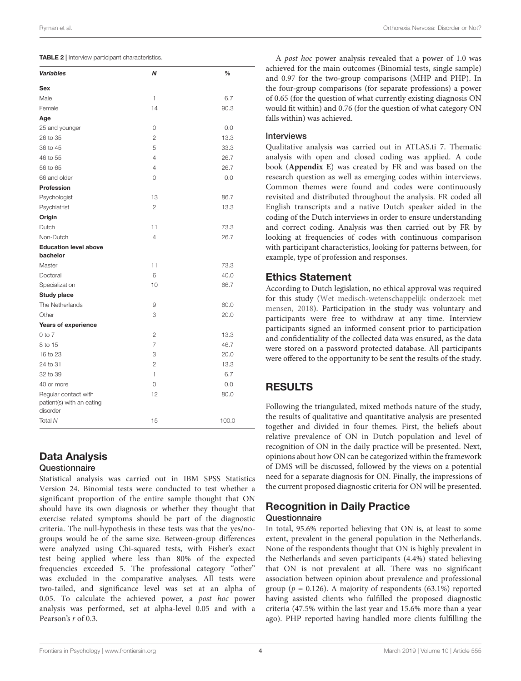<span id="page-3-0"></span>TABLE 2 | Interview participant characteristics.

| <b>Variables</b>                                              | N              | %     |
|---------------------------------------------------------------|----------------|-------|
| Sex                                                           |                |       |
| Male                                                          | 1              | 6.7   |
| Female                                                        | 14             | 90.3  |
| Age                                                           |                |       |
| 25 and younger                                                | 0              | 0.0   |
| 26 to 35                                                      | $\overline{2}$ | 13.3  |
| 36 to 45                                                      | 5              | 33.3  |
| 46 to 55                                                      | 4              | 26.7  |
| 56 to 65                                                      | $\overline{4}$ | 26.7  |
| 66 and older                                                  | $\mathbf 0$    | 0.0   |
| <b>Profession</b>                                             |                |       |
| Psychologist                                                  | 13             | 86.7  |
| Psychiatrist                                                  | $\overline{2}$ | 13.3  |
| Origin                                                        |                |       |
| Dutch                                                         | 11             | 73.3  |
| Non-Dutch                                                     | 4              | 26.7  |
| <b>Education level above</b>                                  |                |       |
| bachelor                                                      |                |       |
| Master                                                        | 11             | 73.3  |
| Doctoral                                                      | 6              | 40.0  |
| Specialization                                                | 10             | 66.7  |
| <b>Study place</b>                                            |                |       |
| The Netherlands                                               | 9              | 60.0  |
| Other                                                         | 3              | 20.0  |
| Years of experience                                           |                |       |
| $0$ to $7$                                                    | 2              | 13.3  |
| 8 to 15                                                       | $\overline{7}$ | 46.7  |
| 16 to 23                                                      | 3              | 20.0  |
| 24 to 31                                                      | $\overline{2}$ | 13.3  |
| 32 to 39                                                      | 1              | 6.7   |
| 40 or more                                                    | $\Omega$       | 0.0   |
| Regular contact with<br>patient(s) with an eating<br>disorder | 12             | 80.0  |
| Total N                                                       | 15             | 100.0 |
|                                                               |                |       |

# Data Analysis

#### **Questionnaire**

Statistical analysis was carried out in IBM SPSS Statistics Version 24. Binomial tests were conducted to test whether a significant proportion of the entire sample thought that ON should have its own diagnosis or whether they thought that exercise related symptoms should be part of the diagnostic criteria. The null-hypothesis in these tests was that the yes/nogroups would be of the same size. Between-group differences were analyzed using Chi-squared tests, with Fisher's exact test being applied where less than 80% of the expected frequencies exceeded 5. The professional category "other" was excluded in the comparative analyses. All tests were two-tailed, and significance level was set at an alpha of 0.05. To calculate the achieved power, a post hoc power analysis was performed, set at alpha-level 0.05 and with a Pearson's r of 0.3.

A post hoc power analysis revealed that a power of 1.0 was achieved for the main outcomes (Binomial tests, single sample) and 0.97 for the two-group comparisons (MHP and PHP). In the four-group comparisons (for separate professions) a power of 0.65 (for the question of what currently existing diagnosis ON would fit within) and 0.76 (for the question of what category ON falls within) was achieved.

#### Interviews

Qualitative analysis was carried out in ATLAS.ti 7. Thematic analysis with open and closed coding was applied. A code book (**[Appendix E](#page-8-13)**) was created by FR and was based on the research question as well as emerging codes within interviews. Common themes were found and codes were continuously revisited and distributed throughout the analysis. FR coded all English transcripts and a native Dutch speaker aided in the coding of the Dutch interviews in order to ensure understanding and correct coding. Analysis was then carried out by FR by looking at frequencies of codes with continuous comparison with participant characteristics, looking for patterns between, for example, type of profession and responses.

### Ethics Statement

According to Dutch legislation, no ethical approval was required for this study [\(Wet medisch-wetenschappelijk onderzoek met](#page-8-15) [mensen,](#page-8-15) [2018\)](#page-8-15). Participation in the study was voluntary and participants were free to withdraw at any time. Interview participants signed an informed consent prior to participation and confidentiality of the collected data was ensured, as the data were stored on a password protected database. All participants were offered to the opportunity to be sent the results of the study.

# RESULTS

Following the triangulated, mixed methods nature of the study, the results of qualitative and quantitative analysis are presented together and divided in four themes. First, the beliefs about relative prevalence of ON in Dutch population and level of recognition of ON in the daily practice will be presented. Next, opinions about how ON can be categorized within the framework of DMS will be discussed, followed by the views on a potential need for a separate diagnosis for ON. Finally, the impressions of the current proposed diagnostic criteria for ON will be presented.

#### Recognition in Daily Practice **Questionnaire**

In total, 95.6% reported believing that ON is, at least to some extent, prevalent in the general population in the Netherlands. None of the respondents thought that ON is highly prevalent in the Netherlands and seven participants (4.4%) stated believing that ON is not prevalent at all. There was no significant association between opinion about prevalence and professional group ( $p = 0.126$ ). A majority of respondents (63.1%) reported having assisted clients who fulfilled the proposed diagnostic criteria (47.5% within the last year and 15.6% more than a year ago). PHP reported having handled more clients fulfilling the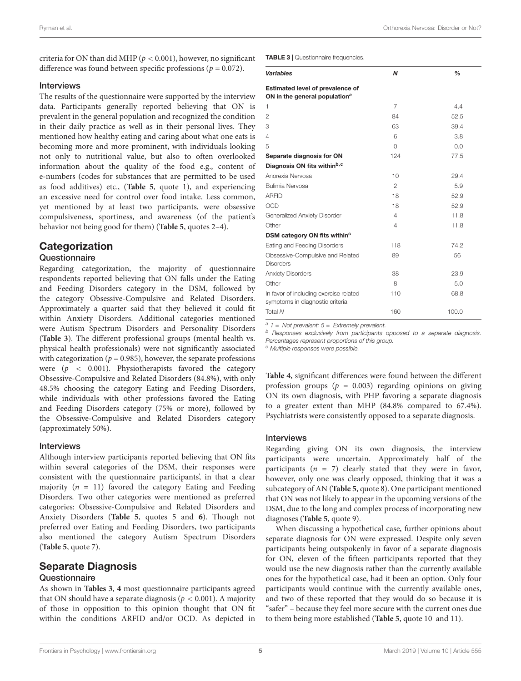criteria for ON than did MHP ( $p < 0.001$ ), however, no significant difference was found between specific professions ( $p = 0.072$ ).

#### Interviews

The results of the questionnaire were supported by the interview data. Participants generally reported believing that ON is prevalent in the general population and recognized the condition in their daily practice as well as in their personal lives. They mentioned how healthy eating and caring about what one eats is becoming more and more prominent, with individuals looking not only to nutritional value, but also to often overlooked information about the quality of the food e.g., content of e-numbers (codes for substances that are permitted to be used as food additives) etc., (**[Table 5](#page-6-0)**, quote 1), and experiencing an excessive need for control over food intake. Less common, yet mentioned by at least two participants, were obsessive compulsiveness, sportiness, and awareness (of the patient's behavior not being good for them) (**[Table 5](#page-6-0)**, quotes 2–4).

### **Categorization**

#### **Questionnaire**

Regarding categorization, the majority of questionnaire respondents reported believing that ON falls under the Eating and Feeding Disorders category in the DSM, followed by the category Obsessive-Compulsive and Related Disorders. Approximately a quarter said that they believed it could fit within Anxiety Disorders. Additional categories mentioned were Autism Spectrum Disorders and Personality Disorders (**[Table 3](#page-4-0)**). The different professional groups (mental health vs. physical health professionals) were not significantly associated with categorization ( $p = 0.985$ ), however, the separate professions were  $(p \lt 0.001)$ . Physiotherapists favored the category Obsessive-Compulsive and Related Disorders (84.8%), with only 48.5% choosing the category Eating and Feeding Disorders, while individuals with other professions favored the Eating and Feeding Disorders category (75% or more), followed by the Obsessive-Compulsive and Related Disorders category (approximately 50%).

#### Interviews

Although interview participants reported believing that ON fits within several categories of the DSM, their responses were consistent with the questionnaire participants', in that a clear majority ( $n = 11$ ) favored the category Eating and Feeding Disorders. Two other categories were mentioned as preferred categories: Obsessive-Compulsive and Related Disorders and Anxiety Disorders (**[Table 5](#page-6-0)**, quotes 5 and **6**). Though not preferred over Eating and Feeding Disorders, two participants also mentioned the category Autism Spectrum Disorders (**[Table 5](#page-6-0)**, quote 7).

#### Separate Diagnosis **Questionnaire**

As shown in **[Tables 3](#page-4-0)**, **[4](#page-5-0)** most questionnaire participants agreed that ON should have a separate diagnosis ( $p < 0.001$ ). A majority of those in opposition to this opinion thought that ON fit within the conditions ARFID and/or OCD. As depicted in

<span id="page-4-0"></span>TABLE 3 | Questionnaire frequencies.

| <b>Variables</b>                                                          | N              | $\frac{9}{6}$ |
|---------------------------------------------------------------------------|----------------|---------------|
| Estimated level of prevalence of                                          |                |               |
| ON in the general population <sup>a</sup>                                 |                |               |
| 1                                                                         | $\overline{7}$ | 4.4           |
| 2                                                                         | 84             | 52.5          |
| 3                                                                         | 63             | 39.4          |
| 4                                                                         | 6              | 3.8           |
| 5                                                                         | $\Omega$       | 0.0           |
| Separate diagnosis for ON                                                 | 124            | 77.5          |
| Diagnosis ON fits within <sup>b,c</sup>                                   |                |               |
| Anorexia Nervosa                                                          | 10             | 29.4          |
| Bulimia Nervosa                                                           | $\mathfrak{D}$ | 5.9           |
| <b>ARFID</b>                                                              | 18             | 52.9          |
| <b>OCD</b>                                                                | 18             | 52.9          |
| Generalized Anxiety Disorder                                              | $\overline{4}$ | 11.8          |
| Other                                                                     | $\overline{4}$ | 11.8          |
| DSM category ON fits within <sup>c</sup>                                  |                |               |
| Eating and Feeding Disorders                                              | 118            | 74.2          |
| Obsessive-Compulsive and Related<br><b>Disorders</b>                      | 89             | 56            |
| <b>Anxiety Disorders</b>                                                  | 38             | 23.9          |
| Other                                                                     | 8              | 5.0           |
| In favor of including exercise related<br>symptoms in diagnostic criteria | 110            | 68.8          |
| <b>Total N</b>                                                            | 160            | 100.0         |

 $a = 1$  = Not prevalent;  $5 =$  Extremely prevalent.

b Responses exclusively from participants opposed to a separate diagnosis. Percentages represent proportions of this group.

<sup>c</sup> Multiple responses were possible.

**[Table 4](#page-5-0)**, significant differences were found between the different profession groups ( $p = 0.003$ ) regarding opinions on giving ON its own diagnosis, with PHP favoring a separate diagnosis to a greater extent than MHP (84.8% compared to 67.4%). Psychiatrists were consistently opposed to a separate diagnosis.

#### Interviews

Regarding giving ON its own diagnosis, the interview participants were uncertain. Approximately half of the participants ( $n = 7$ ) clearly stated that they were in favor, however, only one was clearly opposed, thinking that it was a subcategory of AN (**[Table 5](#page-6-0)**, quote 8). One participant mentioned that ON was not likely to appear in the upcoming versions of the DSM, due to the long and complex process of incorporating new diagnoses (**[Table 5](#page-6-0)**, quote 9).

When discussing a hypothetical case, further opinions about separate diagnosis for ON were expressed. Despite only seven participants being outspokenly in favor of a separate diagnosis for ON, eleven of the fifteen participants reported that they would use the new diagnosis rather than the currently available ones for the hypothetical case, had it been an option. Only four participants would continue with the currently available ones, and two of these reported that they would do so because it is "safer" – because they feel more secure with the current ones due to them being more established (**[Table 5](#page-6-0)**, quote 10 and 11).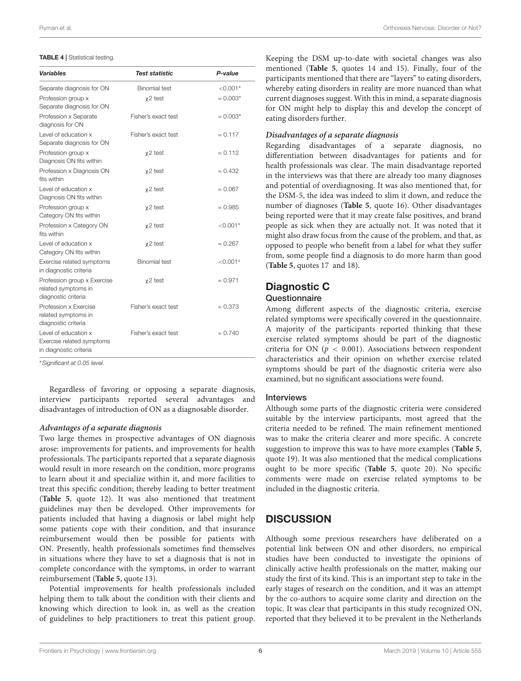#### <span id="page-5-0"></span>TABLE 4 | Statistical testing.

| <b>Variables</b>                                                            | <b>Test statistic</b> | P-value    |
|-----------------------------------------------------------------------------|-----------------------|------------|
| Separate diagnosis for ON                                                   | <b>Binomial test</b>  | $< 0.001*$ |
| Profession group x<br>Separate diagnosis for ON                             | $x2$ test             | $= 0.003*$ |
| Profession x Separate<br>diagnosis for ON                                   | Fisher's exact test   | $= 0.003*$ |
| Level of education x<br>Separate diagnosis for ON                           | Fisher's exact test   | $= 0.117$  |
| Profession group x<br>Diagnosis ON fits within                              | $x^2$ test            | $= 0.112$  |
| Profession x Diagnosis ON<br>fits within                                    | $x^2$ test            | $= 0.432$  |
| Level of education x<br>Diagnosis ON fits within                            | $x^2$ test            | $= 0.067$  |
| Profession group x<br>Category ON fits within                               | $x2$ test             | $= 0.985$  |
| Profession x Category ON<br>fits within                                     | $x2$ test             | $< 0.001*$ |
| Level of education x<br>Category ON fits within                             | $x2$ test             | $= 0.267$  |
| Exercise related symptoms<br>in diagnostic criteria                         | <b>Binomial test</b>  | $< 0.001*$ |
| Profession group x Exercise<br>related symptoms in<br>diagnostic criteria   | $x2$ test             | $= 0.971$  |
| Profession x Exercise<br>related symptoms in<br>diagnostic criteria         | Fisher's exact test   | $= 0.373$  |
| Level of education x<br>Exercise related symptoms<br>in diagnostic criteria | Fisher's exact test   | $= 0.740$  |

<sup>∗</sup>Significant at 0.05 level.

Regardless of favoring or opposing a separate diagnosis, interview participants reported several advantages and disadvantages of introduction of ON as a diagnosable disorder.

#### **Advantages of a separate diagnosis**

Two large themes in prospective advantages of ON diagnosis arose: improvements for patients, and improvements for health professionals. The participants reported that a separate diagnosis would result in more research on the condition, more programs to learn about it and specialize within it, and more facilities to treat this specific condition; thereby leading to better treatment (**[Table 5](#page-6-0)**, quote 12). It was also mentioned that treatment guidelines may then be developed. Other improvements for patients included that having a diagnosis or label might help some patients cope with their condition, and that insurance reimbursement would then be possible for patients with ON. Presently, health professionals sometimes find themselves in situations where they have to set a diagnosis that is not in complete concordance with the symptoms, in order to warrant reimbursement (**[Table 5](#page-6-0)**, quote 13).

Potential improvements for health professionals included helping them to talk about the condition with their clients and knowing which direction to look in, as well as the creation of guidelines to help practitioners to treat this patient group.

Keeping the DSM up-to-date with societal changes was also mentioned (**[Table 5](#page-6-0)**, quotes 14 and 15). Finally, four of the participants mentioned that there are "layers" to eating disorders, whereby eating disorders in reality are more nuanced than what current diagnoses suggest. With this in mind, a separate diagnosis for ON might help to display this and develop the concept of eating disorders further.

#### **Disadvantages of a separate diagnosis**

Regarding disadvantages of a separate diagnosis, no differentiation between disadvantages for patients and for health professionals was clear. The main disadvantage reported in the interviews was that there are already too many diagnoses and potential of overdiagnosing. It was also mentioned that, for the DSM-5, the idea was indeed to slim it down, and reduce the number of diagnoses (**[Table 5](#page-6-0)**, quote 16). Other disadvantages being reported were that it may create false positives, and brand people as sick when they are actually not. It was noted that it might also draw focus from the cause of the problem, and that, as opposed to people who benefit from a label for what they suffer from, some people find a diagnosis to do more harm than good (**[Table 5](#page-6-0)**, quotes 17 and 18).

### Diagnostic C **Questionnaire**

Among different aspects of the diagnostic criteria, exercise related symptoms were specifically covered in the questionnaire. A majority of the participants reported thinking that these exercise related symptoms should be part of the diagnostic criteria for ON ( $p < 0.001$ ). Associations between respondent characteristics and their opinion on whether exercise related symptoms should be part of the diagnostic criteria were also examined, but no significant associations were found.

#### Interviews

Although some parts of the diagnostic criteria were considered suitable by the interview participants, most agreed that the criteria needed to be refined. The main refinement mentioned was to make the criteria clearer and more specific. A concrete suggestion to improve this was to have more examples (**[Table 5](#page-6-0)**, quote 19). It was also mentioned that the medical complications ought to be more specific (**[Table 5](#page-6-0)**, quote 20). No specific comments were made on exercise related symptoms to be included in the diagnostic criteria.

### **DISCUSSION**

Although some previous researchers have deliberated on a potential link between ON and other disorders, no empirical studies have been conducted to investigate the opinions of clinically active health professionals on the matter, making our study the first of its kind. This is an important step to take in the early stages of research on the condition, and it was an attempt by the co-authors to acquire some clarity and direction on the topic. It was clear that participants in this study recognized ON, reported that they believed it to be prevalent in the Netherlands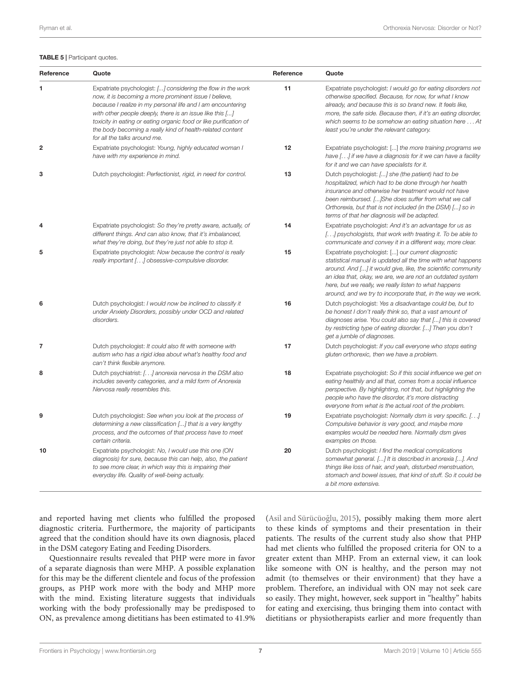#### <span id="page-6-0"></span>TABLE 5 | Participant quotes.

| Reference      | Quote                                                                                                                                                                                                                                                                                                                                                                                                              | Reference | Quote                                                                                                                                                                                                                                                                                                                                                        |
|----------------|--------------------------------------------------------------------------------------------------------------------------------------------------------------------------------------------------------------------------------------------------------------------------------------------------------------------------------------------------------------------------------------------------------------------|-----------|--------------------------------------------------------------------------------------------------------------------------------------------------------------------------------------------------------------------------------------------------------------------------------------------------------------------------------------------------------------|
| 1              | Expatriate psychologist: [] considering the flow in the work<br>now, it is becoming a more prominent issue I believe,<br>because I realize in my personal life and I am encountering<br>with other people deeply, there is an issue like this []<br>toxicity in eating or eating organic food or like purification of<br>the body becoming a really kind of health-related content<br>for all the talks around me. | 11        | Expatriate psychologist: I would go for eating disorders not<br>otherwise specified. Because, for now, for what I know<br>already, and because this is so brand new. It feels like,<br>more, the safe side. Because then, if it's an eating disorder,<br>which seems to be somehow an eating situation here  At<br>least you're under the relevant category. |
| 2              | Expatriate psychologist: Young, highly educated woman I<br>have with my experience in mind.                                                                                                                                                                                                                                                                                                                        | 12        | Expatriate psychologist: [] the more training programs we<br>have [] if we have a diagnosis for it we can have a facility<br>for it and we can have specialists for it.                                                                                                                                                                                      |
| 3              | Dutch psychologist: Perfectionist, rigid, in need for control.                                                                                                                                                                                                                                                                                                                                                     | 13        | Dutch psychologist: [] she (the patient) had to be<br>hospitalized, which had to be done through her health<br>insurance and otherwise her treatment would not have<br>been reimbursed. []She does suffer from what we call<br>Orthorexia, but that is not included (in the DSM) [] so in<br>terms of that her diagnosis will be adapted.                    |
| 4              | Expatriate psychologist: So they're pretty aware, actually, of<br>different things. And can also know, that it's imbalanced,<br>what they're doing, but they're just not able to stop it.                                                                                                                                                                                                                          | 14        | Expatriate psychologist: And it's an advantage for us as<br>[] psychologists, that work with treating it. To be able to<br>communicate and convey it in a different way, more clear.                                                                                                                                                                         |
| 5              | Expatriate psychologist: Now because the control is really<br>really important [] obsessive-compulsive disorder.                                                                                                                                                                                                                                                                                                   | 15        | Expatriate psychologist: [] our current diagnostic<br>statistical manual is updated all the time with what happens<br>around. And [] it would give, like, the scientific community<br>an idea that, okay, we are, we are not an outdated system<br>here, but we really, we really listen to what happens                                                     |
| 6              | Dutch psychologist: I would now be inclined to classify it<br>under Anxiety Disorders, possibly under OCD and related<br>disorders.                                                                                                                                                                                                                                                                                | 16        | around, and we try to incorporate that, in the way we work.<br>Dutch psychologist: Yes a disadvantage could be, but to<br>be honest I don't really think so, that a vast amount of<br>diagnoses arise. You could also say that [] this is covered<br>by restricting type of eating disorder. [] Then you don't<br>get a jumble of diagnoses.                 |
| $\overline{7}$ | Dutch psychologist: It could also fit with someone with<br>autism who has a rigid idea about what's healthy food and<br>can't think flexible anymore.                                                                                                                                                                                                                                                              | 17        | Dutch psychologist: If you call everyone who stops eating<br>gluten orthorexic, then we have a problem.                                                                                                                                                                                                                                                      |
| 8              | Dutch psychiatrist: [] anorexia nervosa in the DSM also<br>includes severity categories, and a mild form of Anorexia<br>Nervosa really resembles this.                                                                                                                                                                                                                                                             | 18        | Expatriate psychologist: So if this social influence we get on<br>eating healthily and all that, comes from a social influence<br>perspective. By highlighting, not that, but highlighting the<br>people who have the disorder, it's more distracting<br>everyone from what is the actual root of the problem.                                               |
| 9              | Dutch psychologist: See when you look at the process of<br>determining a new classification [] that is a very lengthy<br>process, and the outcomes of that process have to meet<br>certain criteria.                                                                                                                                                                                                               | 19        | Expatriate psychologist: Normally dsm is very specific. []<br>Compulsive behavior is very good, and maybe more<br>examples would be needed here. Normally dsm gives<br>examples on those.                                                                                                                                                                    |
| 10             | Expatriate psychologist: No, I would use this one (ON<br>diagnosis) for sure, because this can help, also, the patient<br>to see more clear, in which way this is impairing their<br>everyday life. Quality of well-being actually.                                                                                                                                                                                | 20        | Dutch psychologist: I find the medical complications<br>somewhat general. [] It is described in anorexia []. And<br>things like loss of hair, and yeah, disturbed menstruation,<br>stomach and bowel issues, that kind of stuff. So it could be<br>a bit more extensive.                                                                                     |

and reported having met clients who fulfilled the proposed diagnostic criteria. Furthermore, the majority of participants agreed that the condition should have its own diagnosis, placed in the DSM category Eating and Feeding Disorders.

Questionnaire results revealed that PHP were more in favor of a separate diagnosis than were MHP. A possible explanation for this may be the different clientele and focus of the profession groups, as PHP work more with the body and MHP more with the mind. Existing literature suggests that individuals working with the body professionally may be predisposed to ON, as prevalence among dietitians has been estimated to 41.9%

(Asil and Sürücüoğlu, [2015\)](#page-8-16), possibly making them more alert to these kinds of symptoms and their presentation in their patients. The results of the current study also show that PHP had met clients who fulfilled the proposed criteria for ON to a greater extent than MHP. From an external view, it can look like someone with ON is healthy, and the person may not admit (to themselves or their environment) that they have a problem. Therefore, an individual with ON may not seek care so easily. They might, however, seek support in "healthy" habits for eating and exercising, thus bringing them into contact with dietitians or physiotherapists earlier and more frequently than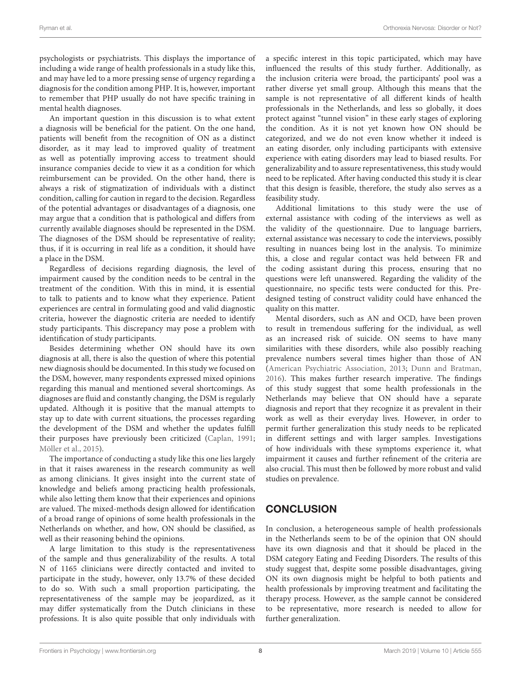psychologists or psychiatrists. This displays the importance of including a wide range of health professionals in a study like this, and may have led to a more pressing sense of urgency regarding a diagnosis for the condition among PHP. It is, however, important to remember that PHP usually do not have specific training in mental health diagnoses.

An important question in this discussion is to what extent a diagnosis will be beneficial for the patient. On the one hand, patients will benefit from the recognition of ON as a distinct disorder, as it may lead to improved quality of treatment as well as potentially improving access to treatment should insurance companies decide to view it as a condition for which reimbursement can be provided. On the other hand, there is always a risk of stigmatization of individuals with a distinct condition, calling for caution in regard to the decision. Regardless of the potential advantages or disadvantages of a diagnosis, one may argue that a condition that is pathological and differs from currently available diagnoses should be represented in the DSM. The diagnoses of the DSM should be representative of reality; thus, if it is occurring in real life as a condition, it should have a place in the DSM.

Regardless of decisions regarding diagnosis, the level of impairment caused by the condition needs to be central in the treatment of the condition. With this in mind, it is essential to talk to patients and to know what they experience. Patient experiences are central in formulating good and valid diagnostic criteria, however the diagnostic criteria are needed to identify study participants. This discrepancy may pose a problem with identification of study participants.

Besides determining whether ON should have its own diagnosis at all, there is also the question of where this potential new diagnosis should be documented. In this study we focused on the DSM, however, many respondents expressed mixed opinions regarding this manual and mentioned several shortcomings. As diagnoses are fluid and constantly changing, the DSM is regularly updated. Although it is positive that the manual attempts to stay up to date with current situations, the processes regarding the development of the DSM and whether the updates fulfill their purposes have previously been criticized [\(Caplan,](#page-8-17) [1991;](#page-8-17) [Möller et al.,](#page-8-18) [2015\)](#page-8-18).

The importance of conducting a study like this one lies largely in that it raises awareness in the research community as well as among clinicians. It gives insight into the current state of knowledge and beliefs among practicing health professionals, while also letting them know that their experiences and opinions are valued. The mixed-methods design allowed for identification of a broad range of opinions of some health professionals in the Netherlands on whether, and how, ON should be classified, as well as their reasoning behind the opinions.

A large limitation to this study is the representativeness of the sample and thus generalizability of the results. A total N of 1165 clinicians were directly contacted and invited to participate in the study, however, only 13.7% of these decided to do so. With such a small proportion participating, the representativeness of the sample may be jeopardized, as it may differ systematically from the Dutch clinicians in these professions. It is also quite possible that only individuals with

a specific interest in this topic participated, which may have influenced the results of this study further. Additionally, as the inclusion criteria were broad, the participants' pool was a rather diverse yet small group. Although this means that the sample is not representative of all different kinds of health professionals in the Netherlands, and less so globally, it does protect against "tunnel vision" in these early stages of exploring the condition. As it is not yet known how ON should be categorized, and we do not even know whether it indeed is an eating disorder, only including participants with extensive experience with eating disorders may lead to biased results. For generalizability and to assure representativeness, this study would need to be replicated. After having conducted this study it is clear that this design is feasible, therefore, the study also serves as a feasibility study.

Additional limitations to this study were the use of external assistance with coding of the interviews as well as the validity of the questionnaire. Due to language barriers, external assistance was necessary to code the interviews, possibly resulting in nuances being lost in the analysis. To minimize this, a close and regular contact was held between FR and the coding assistant during this process, ensuring that no questions were left unanswered. Regarding the validity of the questionnaire, no specific tests were conducted for this. Predesigned testing of construct validity could have enhanced the quality on this matter.

Mental disorders, such as AN and OCD, have been proven to result in tremendous suffering for the individual, as well as an increased risk of suicide. ON seems to have many similarities with these disorders, while also possibly reaching prevalence numbers several times higher than those of AN [\(American Psychiatric Association,](#page-8-0) [2013;](#page-8-0) [Dunn and Bratman,](#page-8-7) [2016\)](#page-8-7). This makes further research imperative. The findings of this study suggest that some health professionals in the Netherlands may believe that ON should have a separate diagnosis and report that they recognize it as prevalent in their work as well as their everyday lives. However, in order to permit further generalization this study needs to be replicated in different settings and with larger samples. Investigations of how individuals with these symptoms experience it, what impairment it causes and further refinement of the criteria are also crucial. This must then be followed by more robust and valid studies on prevalence.

# **CONCLUSION**

In conclusion, a heterogeneous sample of health professionals in the Netherlands seem to be of the opinion that ON should have its own diagnosis and that it should be placed in the DSM category Eating and Feeding Disorders. The results of this study suggest that, despite some possible disadvantages, giving ON its own diagnosis might be helpful to both patients and health professionals by improving treatment and facilitating the therapy process. However, as the sample cannot be considered to be representative, more research is needed to allow for further generalization.